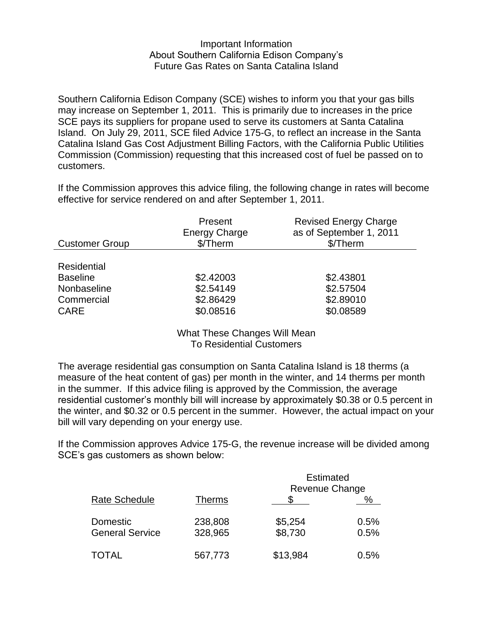## Important Information About Southern California Edison Company's Future Gas Rates on Santa Catalina Island

Southern California Edison Company (SCE) wishes to inform you that your gas bills may increase on September 1, 2011. This is primarily due to increases in the price SCE pays its suppliers for propane used to serve its customers at Santa Catalina Island. On July 29, 2011, SCE filed Advice 175-G, to reflect an increase in the Santa Catalina Island Gas Cost Adjustment Billing Factors, with the California Public Utilities Commission (Commission) requesting that this increased cost of fuel be passed on to customers.

If the Commission approves this advice filing, the following change in rates will become effective for service rendered on and after September 1, 2011.

|                                                                            | Present<br><b>Energy Charge</b>                  | <b>Revised Energy Charge</b><br>as of September 1, 2011 |
|----------------------------------------------------------------------------|--------------------------------------------------|---------------------------------------------------------|
| <b>Customer Group</b>                                                      | \$/Therm                                         | \$/Therm                                                |
| Residential<br><b>Baseline</b><br>Nonbaseline<br>Commercial<br><b>CARE</b> | \$2.42003<br>\$2.54149<br>\$2.86429<br>\$0.08516 | \$2.43801<br>\$2.57504<br>\$2.89010<br>\$0.08589        |

What These Changes Will Mean To Residential Customers

The average residential gas consumption on Santa Catalina Island is 18 therms (a measure of the heat content of gas) per month in the winter, and 14 therms per month in the summer. If this advice filing is approved by the Commission, the average residential customer's monthly bill will increase by approximately \$0.38 or 0.5 percent in the winter, and \$0.32 or 0.5 percent in the summer. However, the actual impact on your bill will vary depending on your energy use.

If the Commission approves Advice 175-G, the revenue increase will be divided among SCE's gas customers as shown below:

|                                    |                    | <b>Estimated</b><br>Revenue Change |              |
|------------------------------------|--------------------|------------------------------------|--------------|
| <b>Rate Schedule</b>               | <b>Therms</b>      |                                    |              |
| Domestic<br><b>General Service</b> | 238,808<br>328,965 | \$5,254<br>\$8,730                 | 0.5%<br>0.5% |
| <b>TOTAL</b>                       | 567,773            | \$13,984                           | 0.5%         |